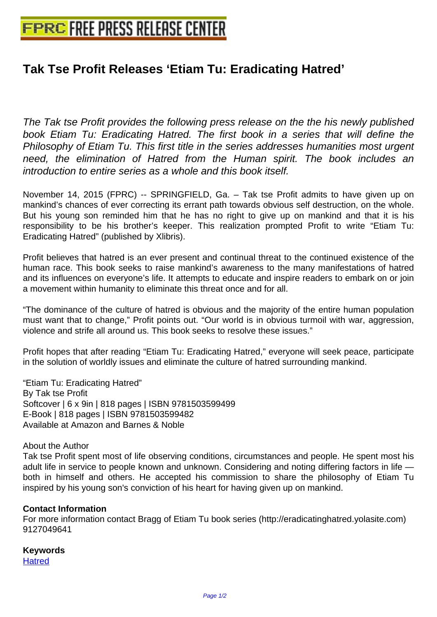## **[Tak Tse Profit Releases 'Etiam Tu:](http://www.free-press-release-center.info) Eradicating Hatred'**

The Tak tse Profit provides the following press release on the the his newly published book Etiam Tu: Eradicating Hatred. The first book in a series that will define the Philosophy of Etiam Tu. This first title in the series addresses humanities most urgent need, the elimination of Hatred from the Human spirit. The book includes an introduction to entire series as a whole and this book itself.

November 14, 2015 (FPRC) -- SPRINGFIELD, Ga. – Tak tse Profit admits to have given up on mankind's chances of ever correcting its errant path towards obvious self destruction, on the whole. But his young son reminded him that he has no right to give up on mankind and that it is his responsibility to be his brother's keeper. This realization prompted Profit to write "Etiam Tu: Eradicating Hatred" (published by Xlibris).

Profit believes that hatred is an ever present and continual threat to the continued existence of the human race. This book seeks to raise mankind's awareness to the many manifestations of hatred and its influences on everyone's life. It attempts to educate and inspire readers to embark on or join a movement within humanity to eliminate this threat once and for all.

"The dominance of the culture of hatred is obvious and the majority of the entire human population must want that to change," Profit points out. "Our world is in obvious turmoil with war, aggression, violence and strife all around us. This book seeks to resolve these issues."

Profit hopes that after reading "Etiam Tu: Eradicating Hatred," everyone will seek peace, participate in the solution of worldly issues and eliminate the culture of hatred surrounding mankind.

"Etiam Tu: Eradicating Hatred" By Tak tse Profit Softcover | 6 x 9in | 818 pages | ISBN 9781503599499 E-Book | 818 pages | ISBN 9781503599482 Available at Amazon and Barnes & Noble

## About the Author

Tak tse Profit spent most of life observing conditions, circumstances and people. He spent most his adult life in service to people known and unknown. Considering and noting differing factors in life both in himself and others. He accepted his commission to share the philosophy of Etiam Tu inspired by his young son's conviction of his heart for having given up on mankind.

## **Contact Information**

For more information contact Bragg of Etiam Tu book series (http://eradicatinghatred.yolasite.com) 9127049641

## **Keywords Hatred**